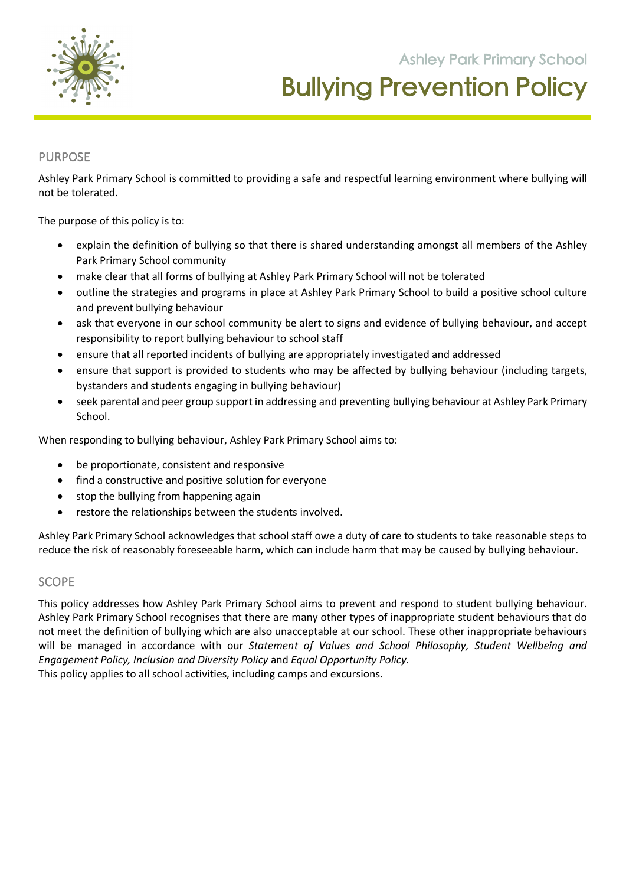

**105 Orchard Road Doreen 3754**

#### PURPOSE

Ashley Park Primary School is committed to providing a safe and respectful learning environment where bullying will not be tolerated.

The purpose of this policy is to:

- explain the definition of bullying so that there is shared understanding amongst all members of the Ashley Park Primary School community
- make clear that all forms of bullying at Ashley Park Primary School will not be tolerated
- outline the strategies and programs in place at Ashley Park Primary School to build a positive school culture and prevent bullying behaviour
- ask that everyone in our school community be alert to signs and evidence of bullying behaviour, and accept responsibility to report bullying behaviour to school staff
- ensure that all reported incidents of bullying are appropriately investigated and addressed
- ensure that support is provided to students who may be affected by bullying behaviour (including targets, bystanders and students engaging in bullying behaviour)
- seek parental and peer group support in addressing and preventing bullying behaviour at Ashley Park Primary School.

When responding to bullying behaviour, Ashley Park Primary School aims to:

- be proportionate, consistent and responsive
- find a constructive and positive solution for everyone
- stop the bullying from happening again
- restore the relationships between the students involved.

Ashley Park Primary School acknowledges that school staff owe a duty of care to students to take reasonable steps to reduce the risk of reasonably foreseeable harm, which can include harm that may be caused by bullying behaviour.

#### **SCOPE**

This policy addresses how Ashley Park Primary School aims to prevent and respond to student bullying behaviour. Ashley Park Primary School recognises that there are many other types of inappropriate student behaviours that do not meet the definition of bullying which are also unacceptable at our school. These other inappropriate behaviours will be managed in accordance with our *Statement of Values and School Philosophy, Student Wellbeing and Engagement Policy, Inclusion and Diversity Policy* and *Equal Opportunity Policy*. This policy applies to all school activities, including camps and excursions.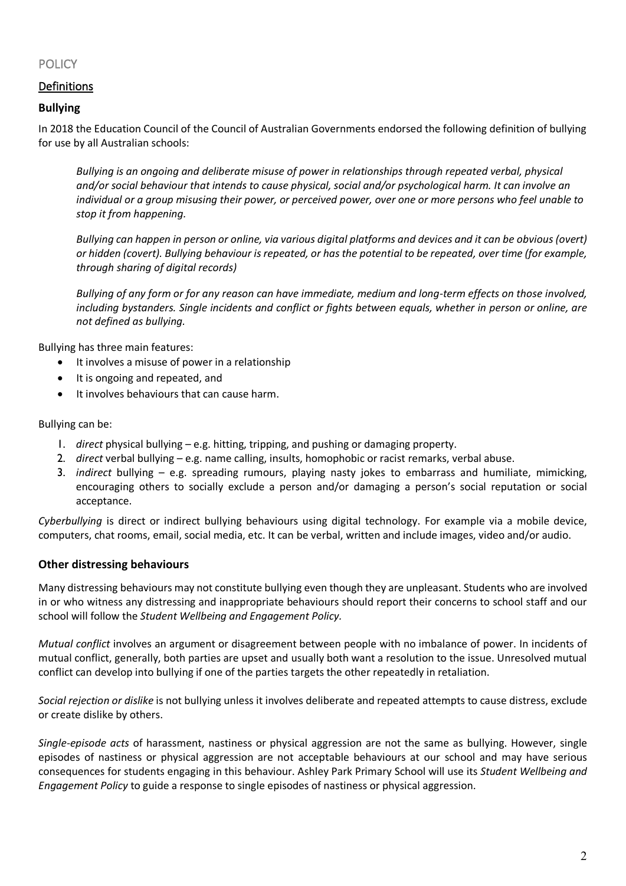## POLICY

#### Definitions

### **Bullying**

In 2018 the Education Council of the Council of Australian Governments endorsed the following definition of bullying for use by all Australian schools:

*Bullying is an ongoing and deliberate misuse of power in relationships through repeated verbal, physical and/or social behaviour that intends to cause physical, social and/or psychological harm. It can involve an individual or a group misusing their power, or perceived power, over one or more persons who feel unable to stop it from happening.*

*Bullying can happen in person or online, via various digital platforms and devices and it can be obvious (overt) or hidden (covert). Bullying behaviour is repeated, or has the potential to be repeated, over time (for example, through sharing of digital records)*

*Bullying of any form or for any reason can have immediate, medium and long-term effects on those involved, including bystanders. Single incidents and conflict or fights between equals, whether in person or online, are not defined as bullying.* 

Bullying has three main features:

- It involves a misuse of power in a relationship
- It is ongoing and repeated, and
- It involves behaviours that can cause harm.

Bullying can be:

- 1. *direct* physical bullying e.g. hitting, tripping, and pushing or damaging property.
- 2. *direct* verbal bullying e.g. name calling, insults, homophobic or racist remarks, verbal abuse.
- 3. *indirect* bullying e.g. spreading rumours, playing nasty jokes to embarrass and humiliate, mimicking, encouraging others to socially exclude a person and/or damaging a person's social reputation or social acceptance.

*Cyberbullying* is direct or indirect bullying behaviours using digital technology. For example via a mobile device, computers, chat rooms, email, social media, etc. It can be verbal, written and include images, video and/or audio.

#### **Other distressing behaviours**

Many distressing behaviours may not constitute bullying even though they are unpleasant. Students who are involved in or who witness any distressing and inappropriate behaviours should report their concerns to school staff and our school will follow the *Student Wellbeing and Engagement Policy.*

*Mutual conflict* involves an argument or disagreement between people with no imbalance of power. In incidents of mutual conflict, generally, both parties are upset and usually both want a resolution to the issue. Unresolved mutual conflict can develop into bullying if one of the parties targets the other repeatedly in retaliation.

*Social rejection or dislike* is not bullying unless it involves deliberate and repeated attempts to cause distress, exclude or create dislike by others.

*Single-episode acts* of harassment, nastiness or physical aggression are not the same as bullying. However, single episodes of nastiness or physical aggression are not acceptable behaviours at our school and may have serious consequences for students engaging in this behaviour. Ashley Park Primary School will use its *Student Wellbeing and Engagement Policy* to guide a response to single episodes of nastiness or physical aggression.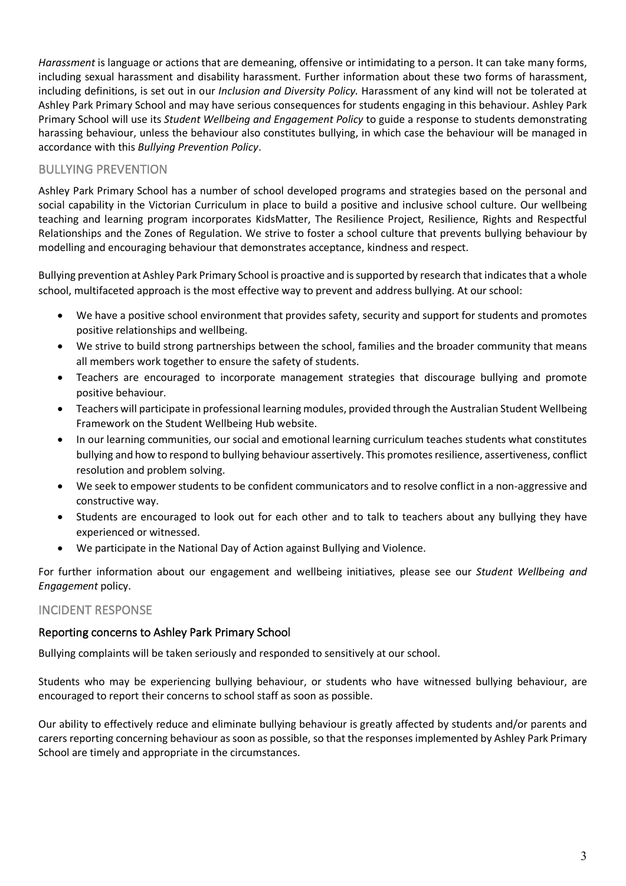*Harassment* is language or actions that are demeaning, offensive or intimidating to a person. It can take many forms, including sexual harassment and disability harassment. Further information about these two forms of harassment, including definitions, is set out in our *Inclusion and Diversity Policy.* Harassment of any kind will not be tolerated at Ashley Park Primary School and may have serious consequences for students engaging in this behaviour. Ashley Park Primary School will use its *Student Wellbeing and Engagement Policy* to guide a response to students demonstrating harassing behaviour, unless the behaviour also constitutes bullying, in which case the behaviour will be managed in accordance with this *Bullying Prevention Policy*.

# BULLYING PREVENTION

Ashley Park Primary School has a number of school developed programs and strategies based on the personal and social capability in the Victorian Curriculum in place to build a positive and inclusive school culture. Our wellbeing teaching and learning program incorporates KidsMatter, The Resilience Project, Resilience, Rights and Respectful Relationships and the Zones of Regulation. We strive to foster a school culture that prevents bullying behaviour by modelling and encouraging behaviour that demonstrates acceptance, kindness and respect.

Bullying prevention at Ashley Park Primary School is proactive and is supported by research that indicates that a whole school, multifaceted approach is the most effective way to prevent and address bullying. At our school:

- We have a positive school environment that provides safety, security and support for students and promotes positive relationships and wellbeing.
- We strive to build strong partnerships between the school, families and the broader community that means all members work together to ensure the safety of students.
- Teachers are encouraged to incorporate management strategies that discourage bullying and promote positive behaviour.
- Teachers will participate in professional learning modules, provided through the Australian Student Wellbeing Framework on the Student Wellbeing Hub website.
- In our learning communities, our social and emotional learning curriculum teaches students what constitutes bullying and how to respond to bullying behaviour assertively. This promotes resilience, assertiveness, conflict resolution and problem solving.
- We seek to empower students to be confident communicators and to resolve conflict in a non-aggressive and constructive way.
- Students are encouraged to look out for each other and to talk to teachers about any bullying they have experienced or witnessed.
- We participate in the National Day of Action against Bullying and Violence.

For further information about our engagement and wellbeing initiatives, please see our *Student Wellbeing and Engagement* policy.

## INCIDENT RESPONSE

## Reporting concerns to Ashley Park Primary School

Bullying complaints will be taken seriously and responded to sensitively at our school.

Students who may be experiencing bullying behaviour, or students who have witnessed bullying behaviour, are encouraged to report their concerns to school staff as soon as possible.

Our ability to effectively reduce and eliminate bullying behaviour is greatly affected by students and/or parents and carers reporting concerning behaviour as soon as possible, so that the responses implemented by Ashley Park Primary School are timely and appropriate in the circumstances.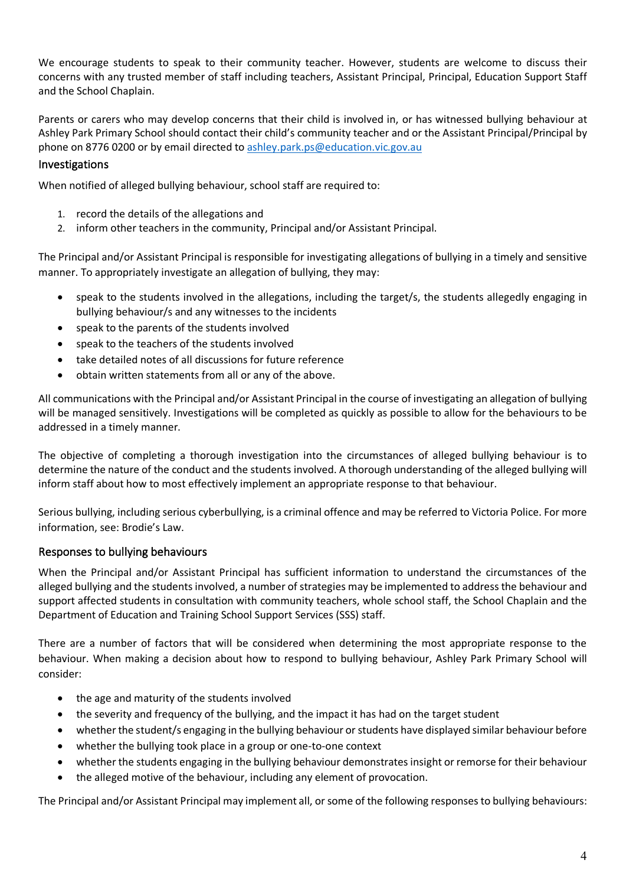We encourage students to speak to their community teacher. However, students are welcome to discuss their concerns with any trusted member of staff including teachers, Assistant Principal, Principal, Education Support Staff and the School Chaplain.

Parents or carers who may develop concerns that their child is involved in, or has witnessed bullying behaviour at Ashley Park Primary School should contact their child's community teacher and or the Assistant Principal/Principal by phone on 8776 0200 or by email directed to ashley.park.ps@education.vic.gov.au

### Investigations

When notified of alleged bullying behaviour, school staff are required to:

- 1. record the details of the allegations and
- 2. inform other teachers in the community, Principal and/or Assistant Principal.

The Principal and/or Assistant Principal is responsible for investigating allegations of bullying in a timely and sensitive manner. To appropriately investigate an allegation of bullying, they may:

- speak to the students involved in the allegations, including the target/s, the students allegedly engaging in bullying behaviour/s and any witnesses to the incidents
- speak to the parents of the students involved
- speak to the teachers of the students involved
- take detailed notes of all discussions for future reference
- obtain written statements from all or any of the above.

All communications with the Principal and/or Assistant Principal in the course of investigating an allegation of bullying will be managed sensitively. Investigations will be completed as quickly as possible to allow for the behaviours to be addressed in a timely manner.

The objective of completing a thorough investigation into the circumstances of alleged bullying behaviour is to determine the nature of the conduct and the students involved. A thorough understanding of the alleged bullying will inform staff about how to most effectively implement an appropriate response to that behaviour.

Serious bullying, including serious cyberbullying, is a criminal offence and may be referred to Victoria Police. For more information, see: Brodie's Law.

#### Responses to bullying behaviours

When the Principal and/or Assistant Principal has sufficient information to understand the circumstances of the alleged bullying and the students involved, a number of strategies may be implemented to address the behaviour and support affected students in consultation with community teachers, whole school staff, the School Chaplain and the Department of Education and Training School Support Services (SSS) staff.

There are a number of factors that will be considered when determining the most appropriate response to the behaviour. When making a decision about how to respond to bullying behaviour, Ashley Park Primary School will consider:

- the age and maturity of the students involved
- the severity and frequency of the bullying, and the impact it has had on the target student
- whether the student/s engaging in the bullying behaviour or students have displayed similar behaviour before
- whether the bullying took place in a group or one-to-one context
- whether the students engaging in the bullying behaviour demonstrates insight or remorse for their behaviour
- the alleged motive of the behaviour, including any element of provocation.

The Principal and/or Assistant Principal may implement all, or some of the following responses to bullying behaviours: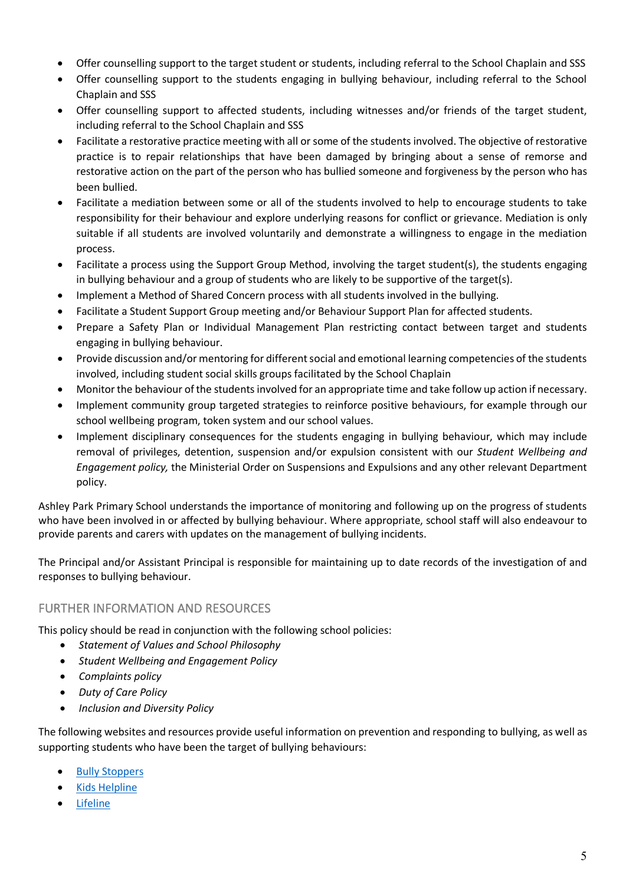- Offer counselling support to the target student or students, including referral to the School Chaplain and SSS
- Offer counselling support to the students engaging in bullying behaviour, including referral to the School Chaplain and SSS
- Offer counselling support to affected students, including witnesses and/or friends of the target student, including referral to the School Chaplain and SSS
- Facilitate a restorative practice meeting with all or some of the students involved. The objective of restorative practice is to repair relationships that have been damaged by bringing about a sense of remorse and restorative action on the part of the person who has bullied someone and forgiveness by the person who has been bullied.
- Facilitate a mediation between some or all of the students involved to help to encourage students to take responsibility for their behaviour and explore underlying reasons for conflict or grievance. Mediation is only suitable if all students are involved voluntarily and demonstrate a willingness to engage in the mediation process.
- Facilitate a process using the Support Group Method, involving the target student(s), the students engaging in bullying behaviour and a group of students who are likely to be supportive of the target(s).
- Implement a Method of Shared Concern process with all students involved in the bullying.
- Facilitate a Student Support Group meeting and/or Behaviour Support Plan for affected students.
- Prepare a Safety Plan or Individual Management Plan restricting contact between target and students engaging in bullying behaviour.
- Provide discussion and/or mentoring for different social and emotional learning competencies of the students involved, including student social skills groups facilitated by the School Chaplain
- Monitor the behaviour of the students involved for an appropriate time and take follow up action if necessary.
- Implement community group targeted strategies to reinforce positive behaviours, for example through our school wellbeing program, token system and our school values.
- Implement disciplinary consequences for the students engaging in bullying behaviour, which may include removal of privileges, detention, suspension and/or expulsion consistent with our *Student Wellbeing and Engagement policy,* the Ministerial Order on Suspensions and Expulsions and any other relevant Department policy.

Ashley Park Primary School understands the importance of monitoring and following up on the progress of students who have been involved in or affected by bullying behaviour. Where appropriate, school staff will also endeavour to provide parents and carers with updates on the management of bullying incidents.

The Principal and/or Assistant Principal is responsible for maintaining up to date records of the investigation of and responses to bullying behaviour.

## FURTHER INFORMATION AND RESOURCES

This policy should be read in conjunction with the following school policies:

- *Statement of Values and School Philosophy*
- *Student Wellbeing and Engagement Policy*
- *Complaints policy*
- *Duty of Care Policy*
- *Inclusion and Diversity Policy*

The following websites and resources provide useful information on prevention and responding to bullying, as well as supporting students who have been the target of bullying behaviours:

- **Bully Stoppers**
- Kids Helpline
- Lifeline